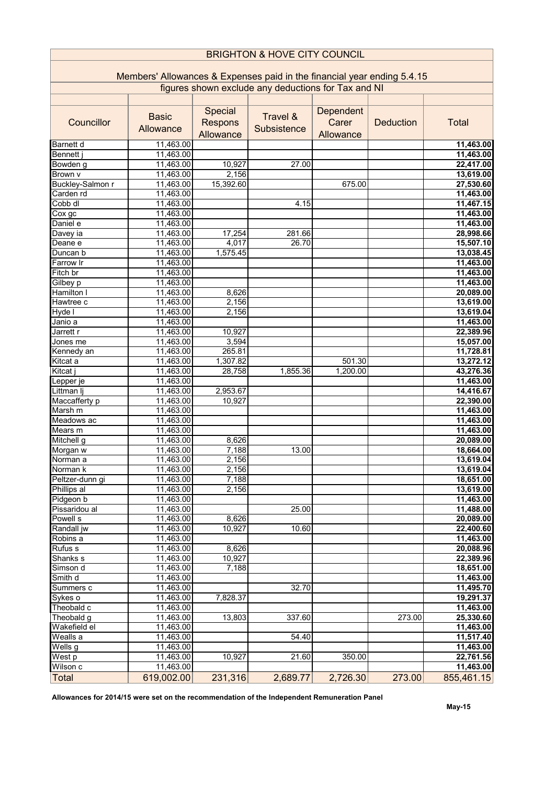| <b>BRIGHTON &amp; HOVE CITY COUNCIL</b>                                 |                        |           |             |           |                  |                        |  |  |  |  |
|-------------------------------------------------------------------------|------------------------|-----------|-------------|-----------|------------------|------------------------|--|--|--|--|
| Members' Allowances & Expenses paid in the financial year ending 5.4.15 |                        |           |             |           |                  |                        |  |  |  |  |
| figures shown exclude any deductions for Tax and NI                     |                        |           |             |           |                  |                        |  |  |  |  |
|                                                                         |                        |           |             |           |                  |                        |  |  |  |  |
|                                                                         |                        | Special   |             | Dependent |                  |                        |  |  |  |  |
| Councillor                                                              | <b>Basic</b>           | Respons   | Travel &    | Carer     | <b>Deduction</b> | Total                  |  |  |  |  |
|                                                                         | Allowance              | Allowance | Subsistence | Allowance |                  |                        |  |  |  |  |
| Barnett d                                                               | 11,463.00              |           |             |           |                  | 11,463.00              |  |  |  |  |
| Bennett j                                                               | 11,463.00              |           |             |           |                  | 11,463.00              |  |  |  |  |
| Bowden g                                                                | 11,463.00              | 10,927    | 27.00       |           |                  | 22,417.00              |  |  |  |  |
| Brown v                                                                 | 11,463.00              | 2,156     |             |           |                  | 13,619.00              |  |  |  |  |
| Buckley-Salmon r                                                        | 11,463.00              | 15,392.60 |             | 675.00    |                  | 27,530.60              |  |  |  |  |
| Carden rd                                                               | 11,463.00              |           |             |           |                  | 11,463.00              |  |  |  |  |
| Cobb dl                                                                 | 11,463.00              |           | 4.15        |           |                  | 11,467.15              |  |  |  |  |
| $\overline{\text{Cox}}$ gc                                              | 11,463.00              |           |             |           |                  | 11,463.00              |  |  |  |  |
| Daniel e                                                                | 11,463.00              |           |             |           |                  | 11,463.00              |  |  |  |  |
| Davey ia                                                                | 11,463.00              | 17,254    | 281.66      |           |                  | 28,998.66              |  |  |  |  |
| Deane e                                                                 | 11,463.00              | 4,017     | 26.70       |           |                  | 15,507.10              |  |  |  |  |
| Duncan b                                                                | 11,463.00              | 1,575.45  |             |           |                  | 13,038.45              |  |  |  |  |
| Farrow Ir                                                               | 11,463.00              |           |             |           |                  | 11,463.00              |  |  |  |  |
| Fitch br                                                                | 11,463.00              |           |             |           |                  | 11,463.00              |  |  |  |  |
| Gilbey p                                                                | 11,463.00              |           |             |           |                  | 11,463.00              |  |  |  |  |
| Hamilton                                                                | 11,463.00              | 8,626     |             |           |                  | 20,089.00              |  |  |  |  |
| Hawtree c                                                               | 11,463.00              | 2,156     |             |           |                  | 13,619.00              |  |  |  |  |
| Hyde I                                                                  | 11,463.00              | 2,156     |             |           |                  | 13,619.04              |  |  |  |  |
| Janio a                                                                 | 11,463.00              |           |             |           |                  | 11,463.00              |  |  |  |  |
| Jarrett r                                                               | 11,463.00              | 10,927    |             |           |                  | 22,389.96              |  |  |  |  |
| Jones me                                                                | 11,463.00              | 3,594     |             |           |                  | 15,057.00              |  |  |  |  |
| Kennedy an                                                              | 11,463.00              | 265.81    |             |           |                  | 11,728.81              |  |  |  |  |
| Kitcat a                                                                | 11,463.00              | 1,307.82  |             | 501.30    |                  | 13,272.12              |  |  |  |  |
| Kitcat j                                                                | 11,463.00              | 28,758    | 1,855.36    | 1,200.00  |                  | 43,276.36              |  |  |  |  |
| Lepper je                                                               | 11,463.00              |           |             |           |                  | 11,463.00              |  |  |  |  |
| Littman lj                                                              | 11,463.00              | 2,953.67  |             |           |                  | 14,416.67              |  |  |  |  |
| Maccafferty p                                                           | 11,463.00              | 10,927    |             |           |                  | 22,390.00              |  |  |  |  |
| Marsh m                                                                 | 11,463.00              |           |             |           |                  | 11,463.00              |  |  |  |  |
| Meadows ac                                                              | 11,463.00              |           |             |           |                  | 11,463.00              |  |  |  |  |
| Mears m                                                                 | 11,463.00              |           |             |           |                  | 11,463.00              |  |  |  |  |
| Mitchell g                                                              | 11,463.00              | 8,626     |             |           |                  | 20,089.00              |  |  |  |  |
| Morgan w                                                                | 11,463.00              | 7,188     | 13.00       |           |                  | 18,664.00              |  |  |  |  |
| Norman a                                                                | 11,463.00              | 2,156     |             |           |                  | 13,619.04              |  |  |  |  |
| Norman k                                                                | 11,463.00              | 2,156     |             |           |                  | 13,619.04              |  |  |  |  |
| Peltzer-dunn gi                                                         | 11,463.00              | 7,188     |             |           |                  | 18,651.00              |  |  |  |  |
| Phillips al                                                             | 11,463.00              | 2,156     |             |           |                  | 13,619.00              |  |  |  |  |
| Pidgeon b<br>Pissaridou al                                              | 11,463.00              |           |             |           |                  | 11,463.00              |  |  |  |  |
|                                                                         | 11,463.00              |           | 25.00       |           |                  | 11,488.00              |  |  |  |  |
| Powell s                                                                | 11,463.00<br>11,463.00 | 8,626     |             |           |                  | 20,089.00              |  |  |  |  |
| Randall jw<br>Robins a                                                  | 11,463.00              | 10,927    | 10.60       |           |                  | 22,400.60<br>11,463.00 |  |  |  |  |
| Rufus s                                                                 | 11,463.00              | 8,626     |             |           |                  | 20,088.96              |  |  |  |  |
| Shanks s                                                                | 11,463.00              | 10,927    |             |           |                  | 22,389.96              |  |  |  |  |
| Simson d                                                                | 11,463.00              | 7,188     |             |           |                  | 18,651.00              |  |  |  |  |
| Smith d                                                                 | 11,463.00              |           |             |           |                  | 11,463.00              |  |  |  |  |
| Summers c                                                               | 11,463.00              |           | 32.70       |           |                  | 11,495.70              |  |  |  |  |
| Sykes o                                                                 | 11,463.00              | 7,828.37  |             |           |                  | 19,291.37              |  |  |  |  |
| Theobald c                                                              | 11,463.00              |           |             |           |                  | 11,463.00              |  |  |  |  |
| Theobald g                                                              | 11,463.00              | 13,803    | 337.60      |           | 273.00           | 25,330.60              |  |  |  |  |
| Wakefield el                                                            | 11,463.00              |           |             |           |                  | 11,463.00              |  |  |  |  |
| Wealls a                                                                | 11,463.00              |           | 54.40       |           |                  | 11,517.40              |  |  |  |  |
| Wells g                                                                 | 11,463.00              |           |             |           |                  | 11,463.00              |  |  |  |  |
| West p                                                                  | 11,463.00              | 10,927    | 21.60       | 350.00    |                  | 22,761.56              |  |  |  |  |
| Wilson c                                                                | 11,463.00              |           |             |           |                  | 11,463.00              |  |  |  |  |
| Total                                                                   | 619,002.00             | 231,316   | 2,689.77    | 2,726.30  | 273.00           | 855,461.15             |  |  |  |  |
|                                                                         |                        |           |             |           |                  |                        |  |  |  |  |

Allowances for 2014/15 were set on the recommendation of the Independent Remuneration Panel